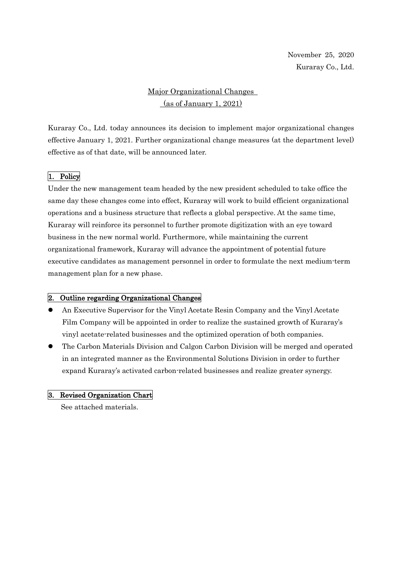# Major Organizational Changes (as of January 1, 2021)

Kuraray Co., Ltd. today announces its decision to implement major organizational changes effective January 1, 2021. Further organizational change measures (at the department level) effective as of that date, will be announced later.

### 1. Policy

Under the new management team headed by the new president scheduled to take office the same day these changes come into effect, Kuraray will work to build efficient organizational operations and a business structure that reflects a global perspective. At the same time, Kuraray will reinforce its personnel to further promote digitization with an eye toward business in the new normal world. Furthermore, while maintaining the current organizational framework, Kuraray will advance the appointment of potential future executive candidates as management personnel in order to formulate the next medium-term management plan for a new phase.

### 2. Outline regarding Organizational Changes

- An Executive Supervisor for the Vinyl Acetate Resin Company and the Vinyl Acetate Film Company will be appointed in order to realize the sustained growth of Kuraray's vinyl acetate-related businesses and the optimized operation of both companies.
- The Carbon Materials Division and Calgon Carbon Division will be merged and operated in an integrated manner as the Environmental Solutions Division in order to further expand Kuraray's activated carbon-related businesses and realize greater synergy.

### 3. Revised Organization Chart

See attached materials.